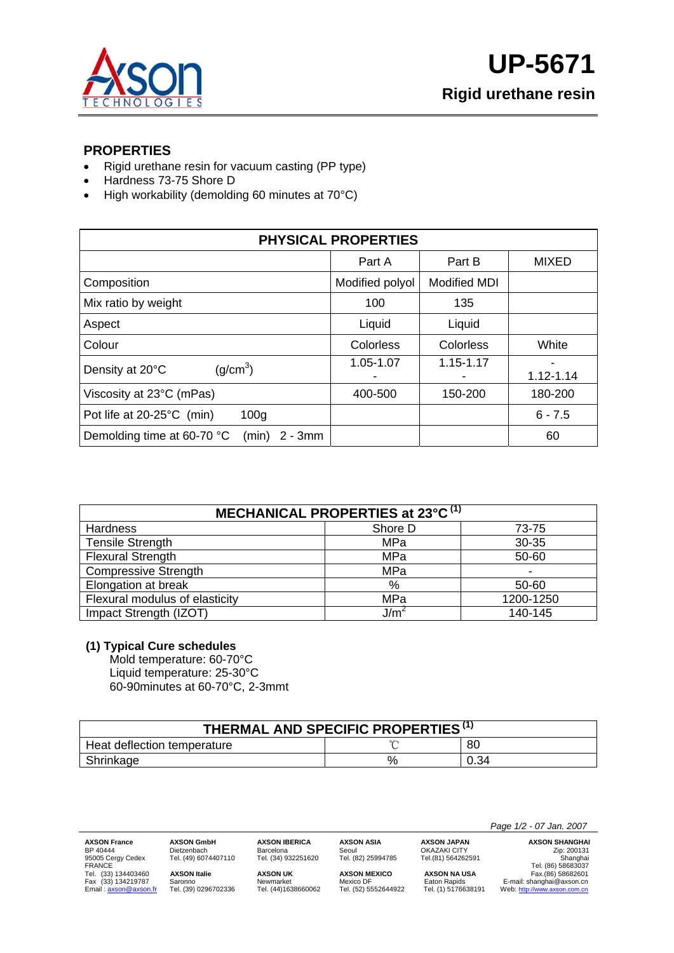

### **PROPERTIES**

- Rigid urethane resin for vacuum casting (PP type)
- Hardness 73-75 Shore D
- High workability (demolding 60 minutes at 70°C)

| <b>PHYSICAL PROPERTIES</b>                        |                 |                     |              |  |  |
|---------------------------------------------------|-----------------|---------------------|--------------|--|--|
|                                                   | Part A          | Part B              | <b>MIXED</b> |  |  |
| Composition                                       | Modified polyol | <b>Modified MDI</b> |              |  |  |
| Mix ratio by weight                               | 100             | 135                 |              |  |  |
| Aspect                                            | Liquid          | Liquid              |              |  |  |
| Colour                                            | Colorless       | Colorless           | White        |  |  |
| (g/cm <sup>3</sup> )<br>Density at 20°C           | 1.05-1.07       | $1.15 - 1.17$       | 1.12-1.14    |  |  |
| Viscosity at 23°C (mPas)                          | 400-500         | 150-200             | 180-200      |  |  |
| Pot life at 20-25°C (min)<br>100 <sub>g</sub>     |                 |                     | $6 - 7.5$    |  |  |
| Demolding time at 60-70 °C<br>(min)<br>$2 - 3$ mm |                 |                     | 60           |  |  |

| MECHANICAL PROPERTIES at 23°C <sup>(1)</sup> |                  |           |  |  |
|----------------------------------------------|------------------|-----------|--|--|
| Hardness                                     | Shore D          | 73-75     |  |  |
| <b>Tensile Strength</b>                      | MPa              | 30-35     |  |  |
| <b>Flexural Strength</b>                     | MPa              | 50-60     |  |  |
| <b>Compressive Strength</b>                  | MPa              |           |  |  |
| Elongation at break                          | $\%$             | 50-60     |  |  |
| Flexural modulus of elasticity               | MPa              | 1200-1250 |  |  |
| Impact Strength (IZOT)                       | J/m <sup>2</sup> | 140-145   |  |  |

#### **(1) Typical Cure schedules**

Mold temperature: 60-70°C Liquid temperature: 25-30°C 60-90minutes at 60-70°C, 2-3mmt

| THERMAL AND SPECIFIC PROPERTIES <sup>(1)</sup> |      |      |  |  |
|------------------------------------------------|------|------|--|--|
| Heat deflection temperature                    |      | 80   |  |  |
| Shrinkage                                      | $\%$ | 0.34 |  |  |

95005 Cergy Cedex Tel. (49) 6074407110 Tel. (34) 932251620 Tel. (82) 25994785 Tel.(81) 564262591 Shanghai

Barcelona<br>Tel. (34) 932251620

**AXSON GmbH AXSON GmbH AXSON GmbH AXSON GmbH**Barcelona<br>
Barcelona **Barcelona AXSON SHANGHAI CHECA CHECA CHECA CHECA CHECA CHECA CHECA CHECA CHECA CHECA CHECA CHECA CHECA CHECA CHECA AXSON France** AXSON GmbH AXSON IBERICA AXSON ASIA AXSON JAPAN AXSON SHANGHA<br>
BP 40444 Dietzenbach Barcelona Seoul CHAZAKI CITY Zip: 200131<br>
FRANCE Gergy Cedex Tel. (49) 6074407110 Tel. (34) 932251620 Tel. (82) 25994785 Te Tel. (33) 134403460 **AXSON Italie AXSON UK AXSON MEXICO AXSON NA USA** Fax.(86) 58682601

 *Page 1/2 - 07 Jan. 2007* 

Fax (33) 1342 Saronno Christian Christian Christian Christian Christian Christian Christian Christian Christian<br>Tel. (33) 0296702336 Tel. (44)1638660062 Tel. (52) 5552644922 Tel. (1) 5176638191 Web: http://www.axson.com.cn Email : <u>axson@axson.fr</u> Tel. (39) 0296702336 Tel. (44)1638660062 Tel. (52) 5552644922 Tel. (1) 5176638191 Web: <u>http://www.axson.com.cn</u>